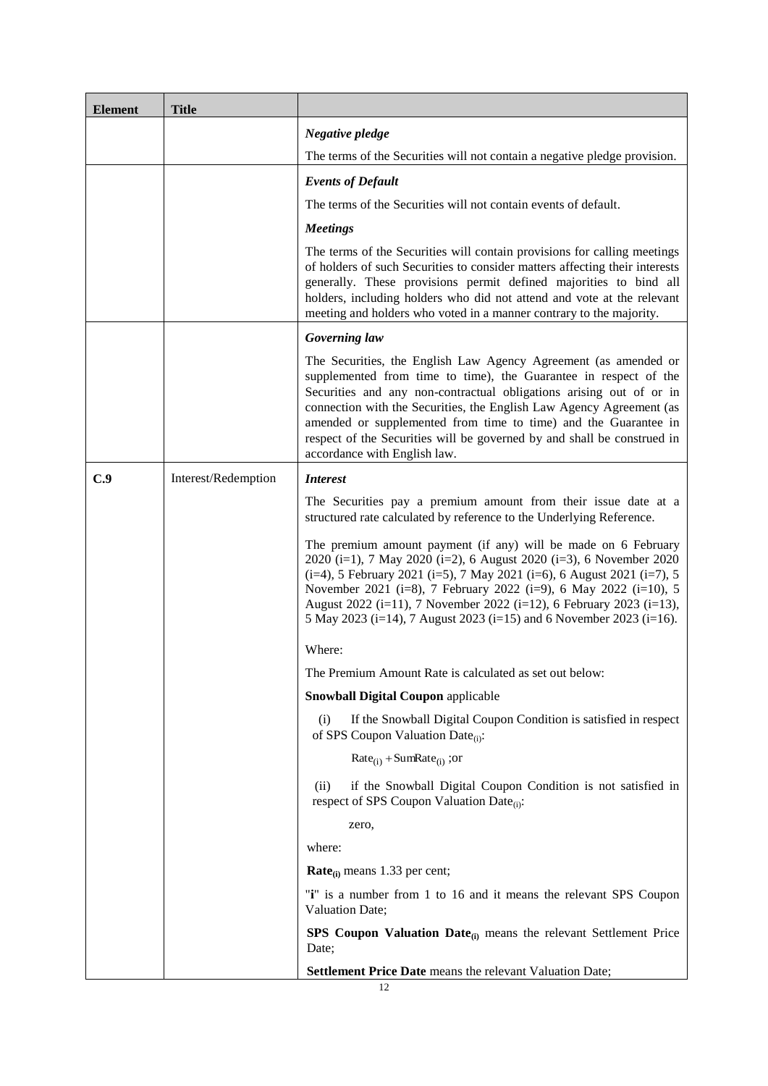### **FINAL TERMS FOR CERTIFICATES**

### **FINAL TERMS DATED 25 SEPTEMBER 2019**

### **BNP Paribas Issuance B.V.**

*(incorporated in The Netherlands) (as Issuer)*

### Legal entity identifier (LEI): 7245009UXRIGIRYOBR48

## **BNP Paribas**

*(incorporated in France) (as Guarantor)*

#### Legal entity identifier (LEI): R0MUWSFPU8MPRO8K5P83

# **400,000 EUR "Phoenix Snowball" Certificates relating to the Shares of UniCredit SpA due 6 November 2023**

#### **ISIN Code: XS2013029512**

under the Note, Warrant and Certificate Programme of BNP Paribas Issuance B.V., BNP Paribas and BNP Paribas Fortis Funding

#### **BNP Paribas Arbitrage S.N.C.**

*(as Manager)*

## **The Certificates are offered to the public in the Republic of Italy from 25 September 2019 to 28 October 2019**

Any person making or intending to make an offer of the Securities may only do so:

- (i) in those Non-exempt Offer Jurisdictions mentioned in Paragraph 47 of Part A below, provided such person is a Manager or an Authorised Offeror (as such term is defined in the Base Prospectus) and that the offer is made during the Offer Period specified in that paragraph and that any conditions relevant to the use of the Base Prospectus are complied with; or
- (ii) otherwise in circumstances in which no obligation arises for the Issuer or any Manager to publish a prospectus pursuant to Article 3 of the Prospectus Directive or to supplement a prospectus pursuant to Article 16 of the Prospectus Directive, in each case, in relation to such offer.

None of the Issuer, the Guarantor or any Manager has authorised, nor do they authorise, the making of any offer of Securities in any other circumstances.

Investors should note that if a supplement to or an updated version of the Base Prospectus referred to below is published at any time during the Offer Period (as defined below), such supplement or updated base prospectus, as the case may be, will be published and made available in accordance with the arrangements applied to the original publication of these Final Terms. Any investors who have indicated acceptances of the Offer (as defined below) prior to the date of publication of such supplement or updated version of the Base Prospectus, as the case may be, (the "**Publication Date**") have the right within two working days of the Publication Date to withdraw their acceptances.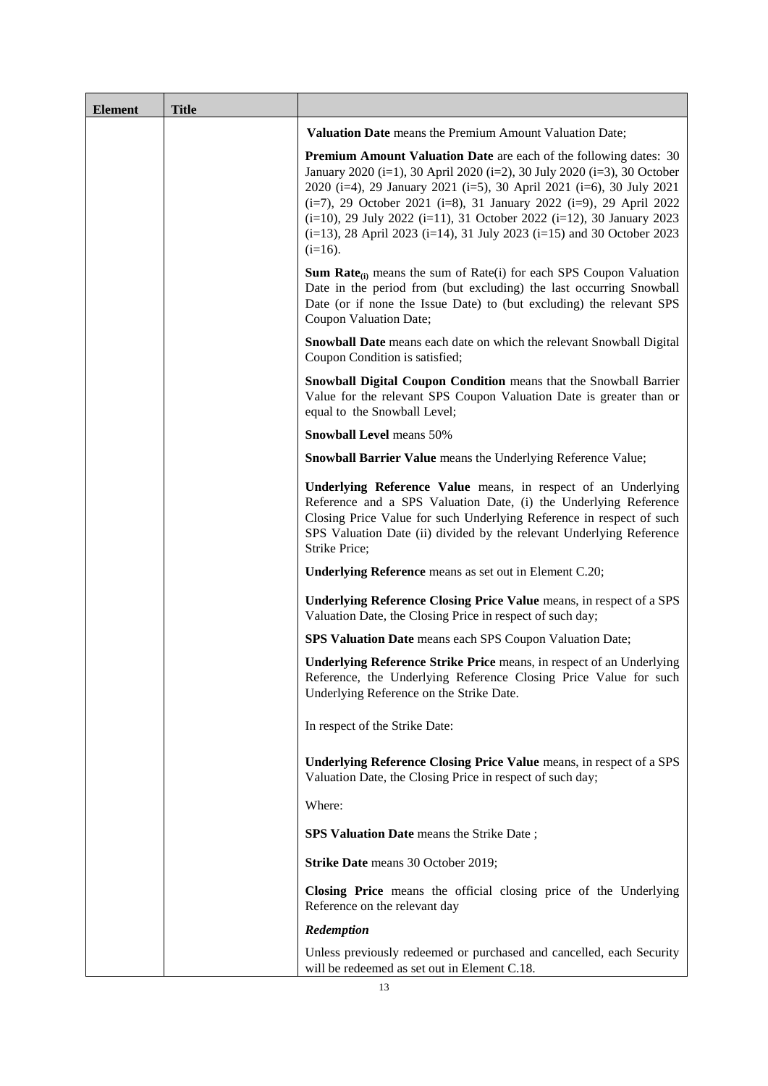### **PART A – CONTRACTUAL TERMS**

Terms used herein shall be deemed to be defined as such for the purposes of the Conditions set forth in the Base Prospectus dated 3 June 2019, each Supplement to the Base Prospectus published and approved on or before the date of these Final Terms (copies of which are available as described below) and any other Supplement to the Base Prospectus which may have been published and approved before the issue of any additional amount of Securities (the "**Supplements**") (provided that to the extent any such Supplement (i) is published and approved after the date of these Final Terms and (ii) provide for any change to the Conditions of the Securities such changes shall have no effect with respect to the Conditions of the Securities to which these Final Terms relate) which together constitute a base prospectus for the purposes of Directive 2003/71/EC (the "**Prospectus Directive**") (the "**Base Prospectus**"). The Base Prospectus has been passported into Italy in compliance with Article 18 of the Prospectus Directive. This document constitutes the Final Terms of the Securities described herein for the purposes of Article 5.4 of the Prospectus Directive and must be read in conjunction with the Base Prospectus. Full information on BNP Paribas Issuance B.V. (the "**Issuer**") BNP Paribas (the "**Guarantor**") and the offer of the Securities is only available on the basis of the combination of these Final Terms and the Base Prospectus. A summary of the Securities (which comprises the Summary in the Base Prospectus as amended to reflect the provisions of these Final Terms) is annexed to these Final Terms. **The Base Prospectus and any Supplement(s) to the Base Prospectus and these Final Terms are available for viewing at www.investimenti.bnpparibas.it and copies may be obtained free of charge at the specified offices of the Security Agents. The Base Prospectus and the Supplement(s) to the Base Prospectus will also be available on the AMF website [www.amf-france.org](http://www.amf-france.org/)**

References herein to numbered Conditions are to the terms and conditions of the relevant series of Securities and words and expressions defined in such terms and conditions shall bear the same meaning in these Final Terms in so far as they relate to such series of Securities, save as where otherwise expressly provided.

These Final Terms relate to the series of Securities as set out in "Specific Provisions for each Series" below. References herein to "**Securities**" shall be deemed to be references to the relevant Securities that are the subject of these Final Terms and references to "**Security**" shall be construed accordingly.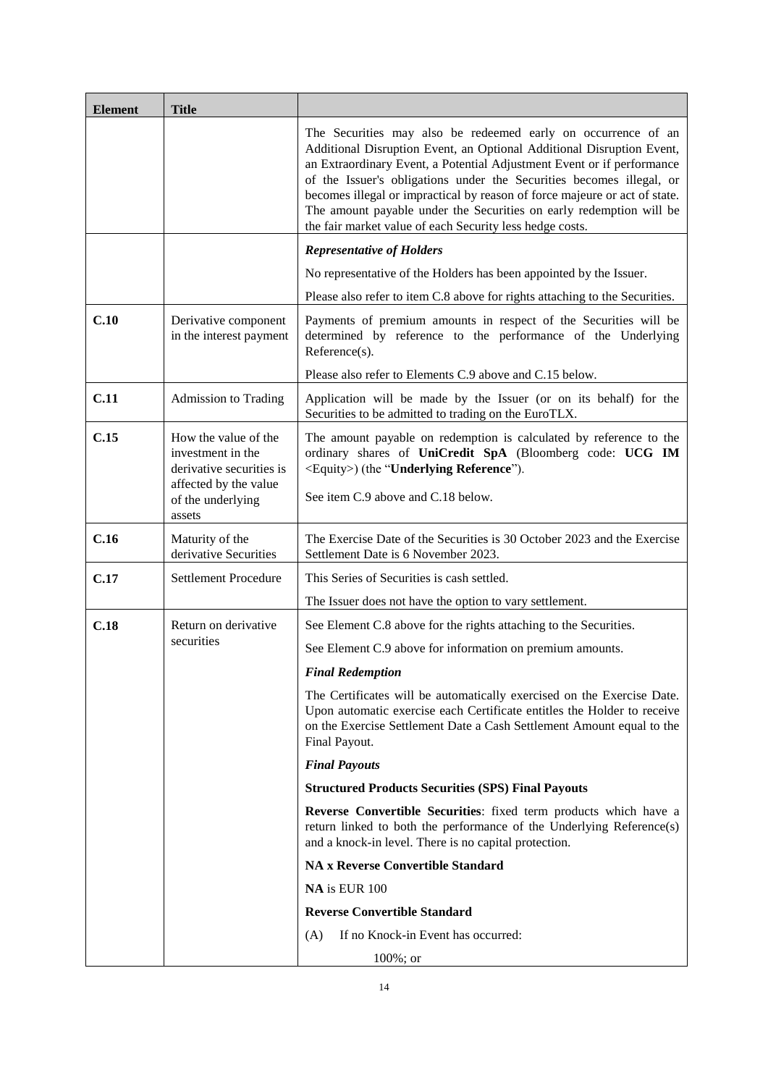# **SPECIFIC PROVISIONS FOR EACH SERIES**

| <b>SERIES</b><br><b>NUMBER</b> | NO. OF<br><b>ISSUED</b> | NO OF<br>SECURITIES SECURITIES | <b>ISIN</b>  | <b>CODE</b> | PER<br><b>SECURITY</b> | <b>COMMON ISSUE PRICE EXERCISE DATE</b> |
|--------------------------------|-------------------------|--------------------------------|--------------|-------------|------------------------|-----------------------------------------|
| <b>CE0418FTS</b>               | 400,000                 | 400.000                        | XS2013029512 | 201302951   | EUR 100                | 30 October 2023                         |

# **GENERAL PROVISIONS**

The following terms apply to each series of Securities:

|     | 1. | Issuer:                                            | BNP Paribas Issuance B.V.                                                                                                                                                                                                              |  |  |
|-----|----|----------------------------------------------------|----------------------------------------------------------------------------------------------------------------------------------------------------------------------------------------------------------------------------------------|--|--|
| 2.  |    | Guarantor:                                         | <b>BNP</b> Paribas                                                                                                                                                                                                                     |  |  |
| 3.  |    | Trade Date:                                        | 19 September 2019.                                                                                                                                                                                                                     |  |  |
| 4.  |    | <b>Issue Date:</b>                                 | 31 October 2019.                                                                                                                                                                                                                       |  |  |
| 5.  |    | Consolidation:                                     | Not applicable                                                                                                                                                                                                                         |  |  |
| 6.  |    | Type of Securities:                                | Certificates<br>(a)                                                                                                                                                                                                                    |  |  |
|     |    |                                                    | The Securities are Share Securities<br>(b)                                                                                                                                                                                             |  |  |
|     |    |                                                    | Automatic Exercise of Certificates applies<br>the<br>to<br>Certificates.                                                                                                                                                               |  |  |
|     |    |                                                    | The Exercise Date is 30 October 2023 or, if such day is not a<br>Business Day, the immediately succeeding Business Day.                                                                                                                |  |  |
|     |    |                                                    | The Exercise Date will be subject to the same adjustments<br>provided for the Redemption Valuation Date. For the<br>purposes of Borsa Italiana, the Exercise Date shall be<br>deemed to be also the expiration date of the Securities. |  |  |
|     |    |                                                    | The Exercise Settlement Date is 6 November 2023.                                                                                                                                                                                       |  |  |
|     |    |                                                    | The minimum number of Securities that may be exercised<br>by the Holder is (1) one Security and in excess thereof by<br>multiples of (1) one Security.                                                                                 |  |  |
|     |    |                                                    | The provisions of Annex 3 (Additional Terms and<br>Conditions for Share Securities) shall apply.                                                                                                                                       |  |  |
|     |    |                                                    | Unwind Costs: Not applicable                                                                                                                                                                                                           |  |  |
| 7.  |    | Form of Securities:                                | Clearing System Global Security.                                                                                                                                                                                                       |  |  |
| 8.  |    | Business Day Centre(s):                            | The applicable Business Day Centre for the purposes of the<br>definition of "Business Day" in Condition 1 is TARGET2                                                                                                                   |  |  |
| 9.  |    | Settlement:                                        | Settlement will be by way of cash payment (Cash Settled<br>Securities)                                                                                                                                                                 |  |  |
| 10. |    | Rounding Convention for Cash Settlement<br>Amount: | Not applicable                                                                                                                                                                                                                         |  |  |
| 11. |    | Variation of Settlement:                           |                                                                                                                                                                                                                                        |  |  |
|     |    | Issuer's option to vary settlement:                | The Issuer does not have the option to vary settlement in<br>respect of the Securities.                                                                                                                                                |  |  |
| 12. |    | <b>Final Payout</b>                                |                                                                                                                                                                                                                                        |  |  |
|     |    | <b>SPS Payout:</b>                                 | <b>SPS Reverse Convertible Securities</b>                                                                                                                                                                                              |  |  |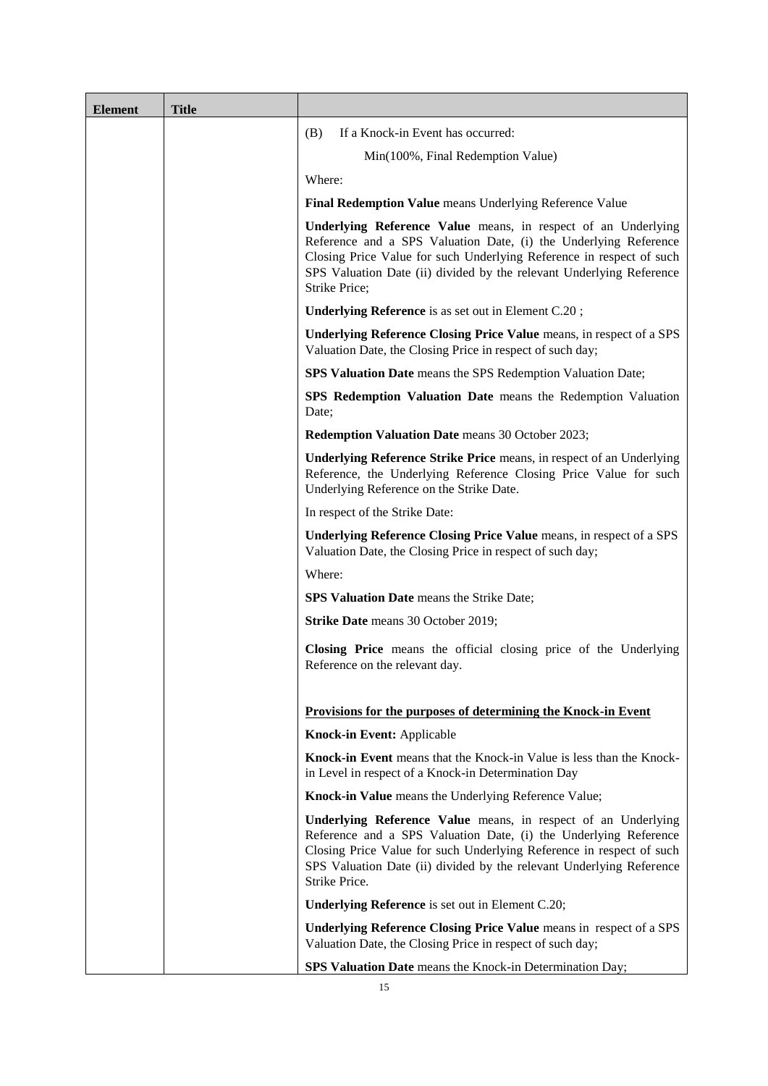SPS Reverse Convertible Standard Securities:

- (A) If no Knock-in Event has occurred: 100%; or
- (B) If a Knock-in Event has occurred:

Min(100%, Final Redemption Value)

*Where:*

**Final Redemption Value** means the Underlying Reference Value;

**Underlying Reference Value** means, in respect of an Underlying Reference and a SPS Valuation Date, (i) the Underlying Reference Closing Price Value for such Underlying Reference in respect of such SPS Valuation Date (ii) divided by the relevant Underlying Reference Strike Price;

**Underlying Reference** means as set out in §26(a) below;

**Underlying Reference Closing Price Value** means, in respect of a SPS Valuation Date, the Closing Price in respect of such day;

**SPS Valuation Date** means the SPS Redemption Valuation Date:

**SPS Redemption Valuation Date** means the Redemption Valuation Date;

**Strike Price Closing Value:** Applicable;

**Underlying Reference Strike Price** means, in respect of an Underlying Reference, the Underlying Reference Closing Price Value for such Underlying Reference on the Strike Date;

In respect of the Strike Date:

**Underlying Reference Closing Price Value** means, in respect of a SPS Valuation Date, the Closing Price in respect of such day;

Where:

**SPS Valuation Date** means the Strike Date

Aggregation: Not applicable

16. Settlement Currency: The settlement currency for the payment of the Cash Settlement Amount is Euro ("**EUR**").

17. Syndication: The Securities will be distributed on a non-syndicated basis.

- 19. Principal Security Agent: BNP Paribas Arbitrage S.N.C.
	- Not applicable

- 13. Relevant Asset(s): Not applicable
- 14. Entitlement: Not applicable
- 15. Exchange Rate/Conversion Rate Not applicable
- 
- 

18. Minimum Trading Size: Not applicable.

20. Registrar: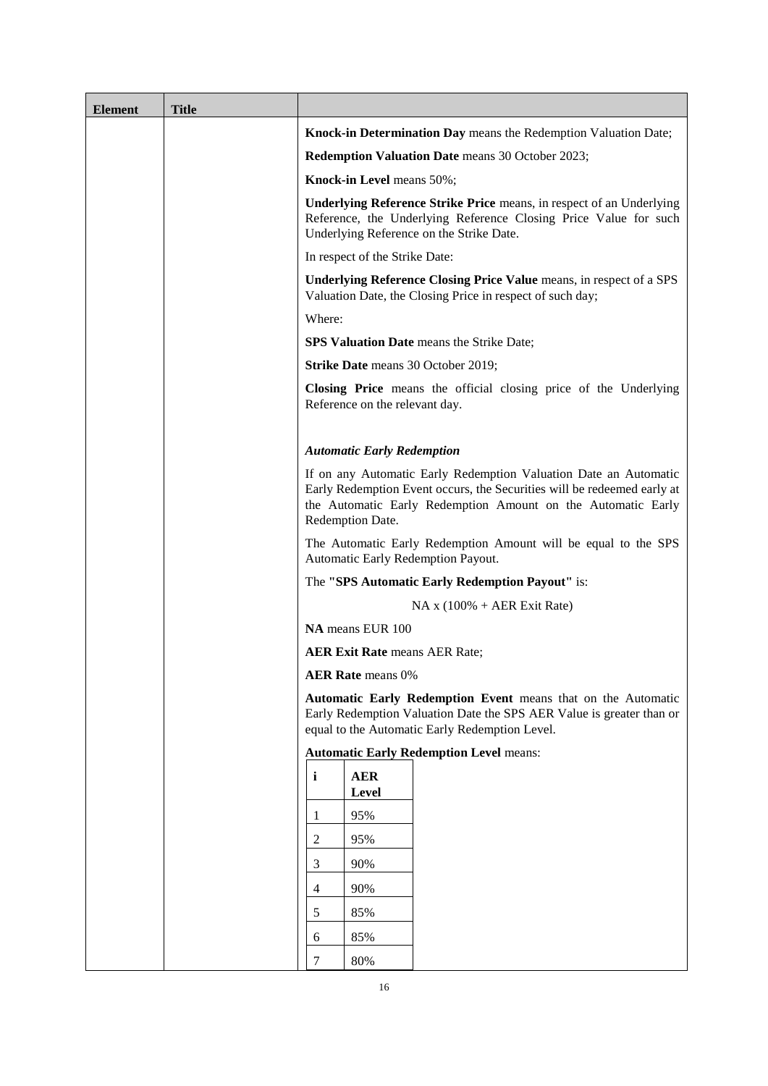| 21. |                                                 | <b>Calculation Agent:</b>                                                                 | BNP Paribas Arbitrage S.N.C.                                                                                                                |  |  |  |
|-----|-------------------------------------------------|-------------------------------------------------------------------------------------------|---------------------------------------------------------------------------------------------------------------------------------------------|--|--|--|
|     |                                                 |                                                                                           | 1 rue Laffitte 75009 Paris France                                                                                                           |  |  |  |
| 22. | Governing law:                                  |                                                                                           | English law                                                                                                                                 |  |  |  |
| 23. |                                                 | Masse provisions (Condition 9.4):                                                         | Not applicable                                                                                                                              |  |  |  |
|     |                                                 | PRODUCT SPECIFIC PROVISIONS                                                               |                                                                                                                                             |  |  |  |
| 24. |                                                 | Hybrid Securities:                                                                        | Not applicable                                                                                                                              |  |  |  |
| 25. |                                                 | <b>Index Securities:</b>                                                                  | Not applicable                                                                                                                              |  |  |  |
| 26. |                                                 | Share Securities/ETI Share Securities:                                                    | Applicable                                                                                                                                  |  |  |  |
|     |                                                 |                                                                                           | Share Securities: Applicable                                                                                                                |  |  |  |
|     | (a)                                             | Share(s)/Share Company/Basket<br>Company/GDR/ADR/ETI<br>Interest/Basket of ETI Interests: | An ordinary share in the share capital of UniCredit SpA<br>(the "Share Company"), (Bloomberg Code: UCG IM) (the<br>"Underlying Reference"). |  |  |  |
|     | (b)                                             | <b>Relative Performance Basket:</b>                                                       | Not applicable.                                                                                                                             |  |  |  |
|     | (c)                                             | Share/ETI Interest Currency:                                                              | <b>EUR</b>                                                                                                                                  |  |  |  |
|     | (d)                                             | ISIN of Share(s)/ETI Interest(s):                                                         | IT0005239360                                                                                                                                |  |  |  |
|     | (e)<br>$Exchange(s)$ :                          |                                                                                           | Borsa Italiana                                                                                                                              |  |  |  |
|     | (f)                                             | Related Exchange(s):                                                                      | All Exchanges                                                                                                                               |  |  |  |
|     | (g)                                             | <b>Exchange Business Day:</b>                                                             | Single Share Basis.                                                                                                                         |  |  |  |
|     | (h)                                             | Scheduled Trading Day:                                                                    | Single Share Basis.                                                                                                                         |  |  |  |
|     | (i)                                             | Weighting:                                                                                | Not applicable                                                                                                                              |  |  |  |
|     | (j)                                             | Settlement Price:                                                                         | Not applicable                                                                                                                              |  |  |  |
|     | (k)<br>Specified Maximum Days of<br>Disruption: |                                                                                           | Three (3) Scheduled Trading Days                                                                                                            |  |  |  |
|     | (1)                                             | <b>Valuation Time:</b>                                                                    | Conditions apply                                                                                                                            |  |  |  |
|     | (m)                                             | Redemption on Occurrence of an<br><b>Extraordinary Event:</b>                             | Delayed Redemption on Occurrence of an Extraordinary<br>Event: Not applicable                                                               |  |  |  |
|     | (n)                                             | Share/ETI Interest Correction<br>Period:                                                  | As per Conditions                                                                                                                           |  |  |  |
|     | (0)                                             | Dividend Payment:                                                                         | Not applicable                                                                                                                              |  |  |  |
|     | (p)                                             | Listing Change:                                                                           | Not applicable                                                                                                                              |  |  |  |
|     | (q)                                             | Listing Suspension:                                                                       | Not applicable                                                                                                                              |  |  |  |
|     | (r)                                             | Illiquidity:                                                                              | Not applicable                                                                                                                              |  |  |  |
|     | (s)                                             | Tender Offer:                                                                             | Applicable                                                                                                                                  |  |  |  |
|     | (t)                                             | <b>CSR</b> Event:                                                                         | Not applicable                                                                                                                              |  |  |  |
|     | (u)                                             | Hedging Liquidity Event:                                                                  | Not applicable                                                                                                                              |  |  |  |
| 27. | <b>ETI</b> Securities                           |                                                                                           | Not applicable                                                                                                                              |  |  |  |
| 28. |                                                 | Debt Securities:                                                                          | Not applicable                                                                                                                              |  |  |  |
| 29. |                                                 | <b>Commodity Securities:</b>                                                              | Not applicable                                                                                                                              |  |  |  |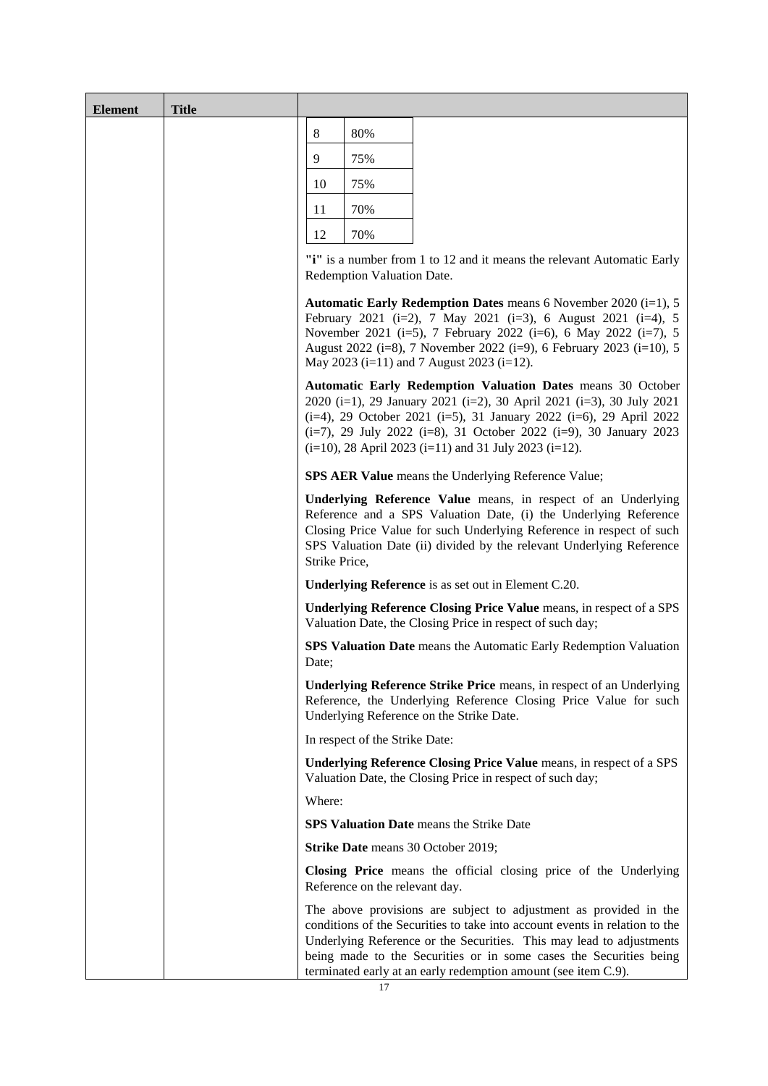| 30. |     | <b>Inflation Index Securities:</b>                                                 |            | Not applicable                                                                                                                                                                                                                                                                              |
|-----|-----|------------------------------------------------------------------------------------|------------|---------------------------------------------------------------------------------------------------------------------------------------------------------------------------------------------------------------------------------------------------------------------------------------------|
| 31. |     | <b>Currency Securities:</b>                                                        |            | Not applicable                                                                                                                                                                                                                                                                              |
| 32. |     | <b>Fund Securities:</b>                                                            |            | Not applicable                                                                                                                                                                                                                                                                              |
| 33. |     | <b>Futures Securities:</b>                                                         |            | Not applicable                                                                                                                                                                                                                                                                              |
| 34. |     | <b>Credit Security Provisions:</b>                                                 |            | Not applicable                                                                                                                                                                                                                                                                              |
| 35. |     | <b>Underlying Interest Rate Securities:</b>                                        |            | Not applicable                                                                                                                                                                                                                                                                              |
| 36. |     | Preference Share Certificates:                                                     |            | Not applicable                                                                                                                                                                                                                                                                              |
| 37. |     | <b>OET</b> Certificates:                                                           |            | Not applicable                                                                                                                                                                                                                                                                              |
| 38. |     | Illegality (Security Condition 7.1) and<br>Force Majeure (Security Condition 7.2): | $7.1$ (d). | Illegality: redemption in accordance with Security Condition                                                                                                                                                                                                                                |
|     |     |                                                                                    |            | Force Majeure: redemption in accordance with Security<br>Condition 7.2 (b).                                                                                                                                                                                                                 |
| 39. |     | Additional Disruption Events and Optional                                          | (a)        | <b>Additional Disruption Events: Applicable</b>                                                                                                                                                                                                                                             |
|     |     | <b>Additional Disruption Events:</b>                                               |            | Hedging Disruption does not apply to<br>the<br>Securities.                                                                                                                                                                                                                                  |
|     |     |                                                                                    | (b)        | The following Optional Additional Disruption<br>Events apply to the Securities:                                                                                                                                                                                                             |
|     |     |                                                                                    |            | Administrator/Benchmark Event                                                                                                                                                                                                                                                               |
|     |     |                                                                                    |            | <b>Insolvency Filing</b>                                                                                                                                                                                                                                                                    |
|     |     |                                                                                    | (c)        | Redemption:                                                                                                                                                                                                                                                                                 |
|     |     |                                                                                    |            | Delayed Redemption on Occurrence of an Additional<br>Disruption Event and/or Optional Additional Disruption<br>Event (in the case of Certificates): Not applicable                                                                                                                          |
| 40. |     | Knock-in Event:                                                                    | Applicable |                                                                                                                                                                                                                                                                                             |
|     |     |                                                                                    |            | If the Knock-in Value is less than the Knock-in Level on the<br>Knock-in Determination Day                                                                                                                                                                                                  |
|     | (a) | SPS Knock-in Valuation:                                                            | Applicable |                                                                                                                                                                                                                                                                                             |
|     |     |                                                                                    |            | Knock-in Value means the Underlying Reference Value;                                                                                                                                                                                                                                        |
|     |     |                                                                                    | Price.     | Underlying Reference Value means, in respect of an<br>Underlying Reference and a SPS Valuation Date, (i) the<br>Underlying Reference Closing Price Value for such<br>Underlying Reference in respect of such SPS Valuation Date<br>(ii) divided by the relevant Underlying Reference Strike |
|     |     |                                                                                    |            | <b>Underlying Reference</b> is as set out in item $26(a)$ above;                                                                                                                                                                                                                            |
|     |     |                                                                                    |            | Underlying Reference Closing Price Value means, in<br>respect of a SPS Valuation Date, the Closing Price in<br>respect of such day;                                                                                                                                                         |
|     |     |                                                                                    | Day;       | SPS Valuation Date means the Knock-in Determination                                                                                                                                                                                                                                         |
|     |     |                                                                                    |            | <b>Strike Price Closing Value: Applicable;</b>                                                                                                                                                                                                                                              |
|     |     |                                                                                    |            | Underlying Reference Strike Price means, in respect of an<br>Underlying Reference, the Underlying Reference Closing                                                                                                                                                                         |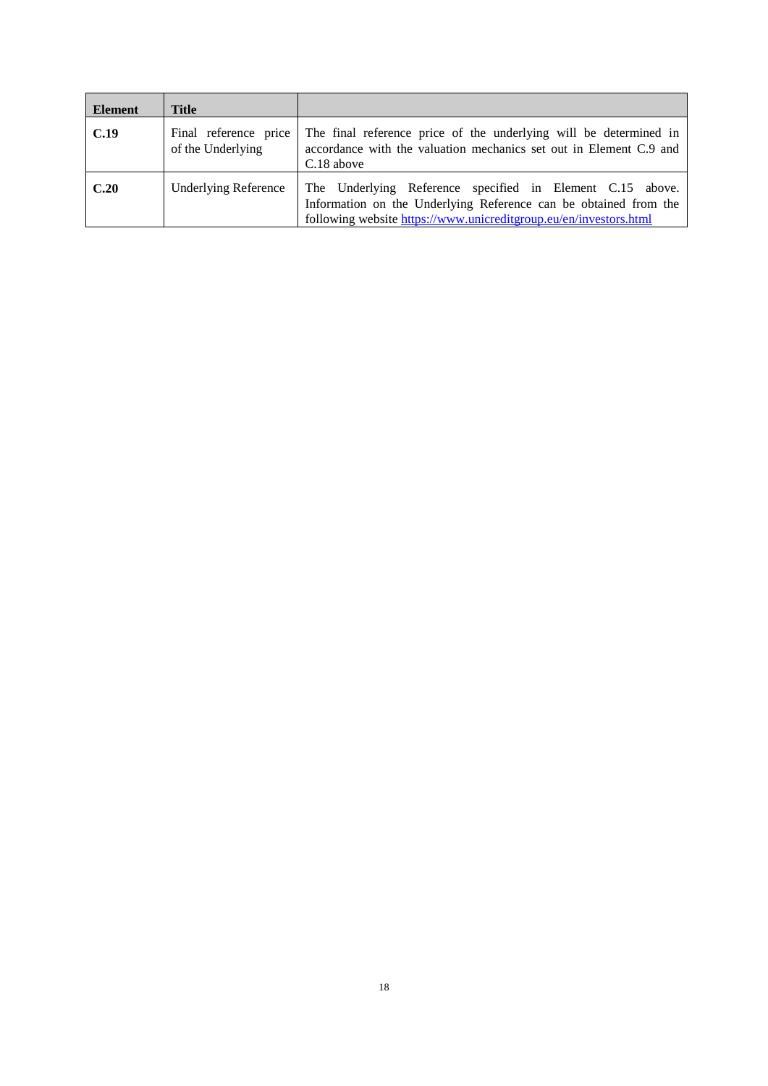Price Value for such Underlying Reference on the Strike Date.

In respect of the Strike Date:

**Underlying Reference Closing Price Value** means, in respect of a SPS Valuation Date, the Closing Price in respect of such day;

May 2021 (i=6), 6 August 2021 (i=7), 5 November 2021  $(i=8)$ , 7 February 2022  $(i=9)$ , 6 May 2022  $(i=10)$ , 5 August

Where:

# **SPS Valuation Date** means the Strike Date

- (b) Level: Not applicable (c) Knock-in Level/Knock-in Range Level: 50 per cent. (d) Knock-in Period Beginning Date: Not applicable
- (e) Knock-in Period Beginning Date Day Convention: Not applicable
- (f) Knock-in Determination Period: Not applicable
- (g) Knock-in Determination Day(s): Redemption Valuation Date
- (h) Knock-in Period Ending Date: Not applicable
- (i) Knock-in Period Ending Date Day Convention: Not applicable
- (j) Knock-in Valuation Time: Not applicable (k) Knock-in Observation Price Source: Not applicable. (l) Disruption Consequences: Not applicable.

# 41. Knock-out Event: Not applicable

# **42. EXERCISE, VALUATION AND REDEMPTION**

| (a) | <b>Notional</b><br>Certificate: | of<br>Amount<br>each                            | <b>EUR 100</b>                                                                                                            |  |  |  |
|-----|---------------------------------|-------------------------------------------------|---------------------------------------------------------------------------------------------------------------------------|--|--|--|
| (b) |                                 | Partly Paid Certificates:                       | The Certificates are not Partly Paid Certificates.                                                                        |  |  |  |
| (c) | Interest:                       |                                                 | Not applicable                                                                                                            |  |  |  |
| (d) |                                 | <b>Fixed Rate Provisions:</b>                   | Not applicable.                                                                                                           |  |  |  |
| (e) |                                 | <b>Floating Rate Provisions:</b>                | Not applicable.                                                                                                           |  |  |  |
| (f) | Linked Interest Certificates:   |                                                 | Not applicable.                                                                                                           |  |  |  |
| (g) | Payment of Premium Amount(s):   |                                                 | Applicable                                                                                                                |  |  |  |
|     | (i)                             | Premium Amount(s)                               | NA x Premium Amount Rate                                                                                                  |  |  |  |
|     | (ii)                            | Linked Premium Amount<br>Certificates:          | Applicable – see Share Linked Premium<br>Amount<br>Certificates below                                                     |  |  |  |
|     |                                 | Day Count Fraction:                             | Not applicable                                                                                                            |  |  |  |
|     | (iii)                           | Variable Premium<br><b>Amount Certificates:</b> | Not applicable.                                                                                                           |  |  |  |
|     | (iv)                            | Premium Amount<br>Payment Date(s):              | 6 February 2020 (i=1), 7 May 2020 (i=2), 6 August 2020<br>$(i=3)$ , 6 November 2020 $(i=4)$ , 5 February 2021 $(i=5)$ , 7 |  |  |  |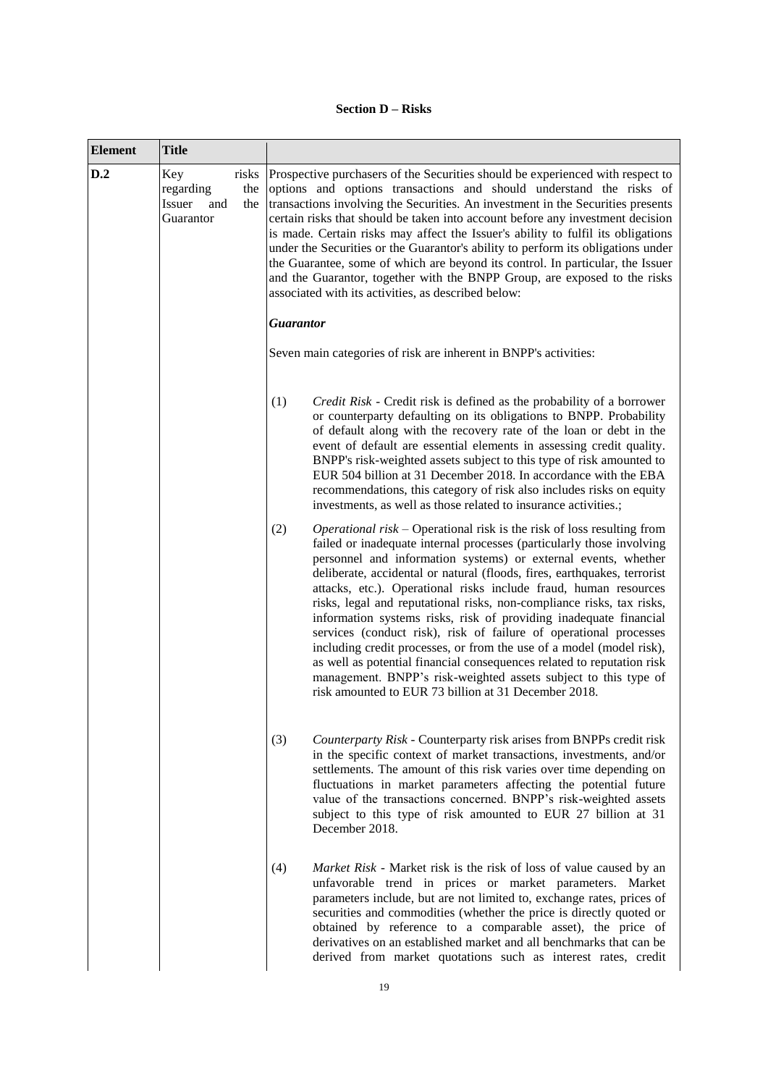2022 (i=11), 7 November 2022 (i=12), 6 February 2023  $(i=13)$ , 5 May 2023  $(i=14)$ , 7 August 2023  $(i=15)$  and 6 November 2023 (i=16).

- (v) Business Day Convention for Premium Amount Payment Date(s):
- 

### (vi) Premium Amount Rate: **Snowball Digital Coupon** is applicable:

(i) If the Snowball Digital Coupon Condition is satisfied in respect of SPS Coupon Valuation Date<sub>(i)</sub>:

 $Rate_{(i)} + SumRate_{(i)}$ 

(ii) If the Snowball Digital Coupon Condition is not satisfied in respect of SPS Coupon Valuation Date $_{(i)}$ :

zero,

**where:**

Following

**Rate(i)** means 1.33%;

**"i"** is a number from 1 to 16 and it means the relevant SPS Coupon Valuation Date;

**SPS Coupon Valuation Date(s)(i)** means the relevant Settlement Price Date;

**Settlement Price Date** means the relevant Valuation Dates:

**Valuation Date(s)** means the Premium Amount Valuation Date(s);

**Premium Amount Valuation Date(s)** means as set out in item  $42(i)(v)$ .

**Sum Rate(i)** means the sum of Rate(i) for each SPS Coupon Valuation Date in the period from (but excluding) the last occurring Snowball Date (or if none the Issue Date) to (but excluding) the relevant SPS Coupon Valuation Date;

**Snowball Date** means each date on which the relevant Snowball Digital Coupon Condition is satisfied;

**Snowball Digital Coupon Condition** means that the Snowball Barrier Value for the relevant SPS Coupon Valuation Date is greater than or equal to the Snowball Level;

**Snowball Level** means 50%;

**Snowball Barrier Value** means the Underlying Reference Value;

**Underlying Reference Value** means, in respect of an Underlying Reference and a SPS Valuation Date, (i) the Underlying Reference Closing Price Value for such Underlying Reference in respect of such SPS Valuation Date (ii) divided by the relevant Underlying Reference Strike Price;

**Underlying Reference** is as set out in item 26(a).

**Underlying Reference Closing Price Value** means, in respect of a SPS Valuation Date, the Closing Price in respect of such day;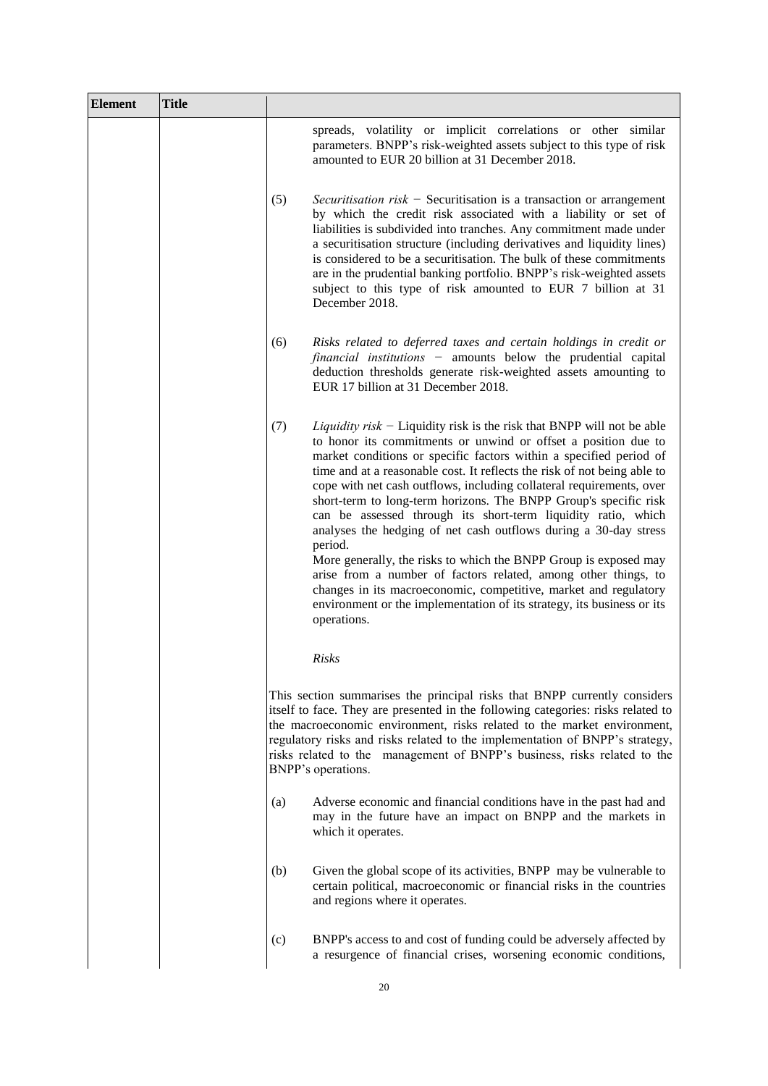**SPS Valuation Date** means each SPS Coupon Valuation Date;

**Strike Price Closing Value**: applicable

**Underlying Reference Strike Price** means, in respect of an Underlying Reference, the Underlying Reference Closing Price Value for such Underlying Reference on the Strike Date;

In respect of the Strike Date:

**Underlying Reference Closing Price Value** means in respect of a SPS Valuation Date, the Closing Price in respect of such day;

Where:

**SPS Valuation Date** means the Strike Date.

- (vii) Premium Amount Record Date(s): 4 February 2020 (i=1), 5 May 2020 (i=2), 4 August 2020 (i=3), 4 November 2020 (i=4), 3 February 2021 (i=5), 5 May 2021 (i=6), 4 August 2021 (i=7), 3 November 2021  $(i=8)$ , 3 February 2022  $(i=9)$ , 4 May 2022  $(i=10)$ , 3 August
	- 2022 (i=11), 3 November 2022 (i=12), 2 February 2023  $(i=13)$ , 3 May 2023  $(i=14)$ , 3 August 2023  $(i=15)$  and 2 November 2023 ( $i=16$ ).

| (h) |                                     | <b>Index Linked Premium Amount</b><br>Certificates:                                                              | Not applicable                                                                                                                                                                                                                                                                                                                                                                                            |
|-----|-------------------------------------|------------------------------------------------------------------------------------------------------------------|-----------------------------------------------------------------------------------------------------------------------------------------------------------------------------------------------------------------------------------------------------------------------------------------------------------------------------------------------------------------------------------------------------------|
| (i) |                                     | Share Linked/ETI Linked                                                                                          | Applicable                                                                                                                                                                                                                                                                                                                                                                                                |
|     | <b>Premium Amount Certificates:</b> |                                                                                                                  | <b>Share Securities: Applicable</b>                                                                                                                                                                                                                                                                                                                                                                       |
|     | (i)                                 | $Share(s)$ /Share<br>Company / Basket Compagny<br>/ GDR / ADR / ETI Interest/<br><b>Basket of ETI Interests:</b> | As set out in $\S26(a)$ above                                                                                                                                                                                                                                                                                                                                                                             |
|     | (ii)<br>Performance                 | <b>Relative Basket</b>                                                                                           | Not applicable                                                                                                                                                                                                                                                                                                                                                                                            |
|     | (iii)                               | Averaging:                                                                                                       | Averaging does not apply                                                                                                                                                                                                                                                                                                                                                                                  |
|     | (iv)                                | Premium Amount<br>Valuation Time:                                                                                | Conditions apply                                                                                                                                                                                                                                                                                                                                                                                          |
|     | (v)                                 | Premium Amount<br>Valuation Date(s):                                                                             | 30 January 2020 (i=1), 30 April 2020 (i=2), 30 July<br>2020 (i=3), 30 October 2020 (i=4), 29 January 2021<br>$(i=5)$ , 30 April 2021 $(i=6)$ , 30 July 2021 $(i=7)$ , 29<br>October 2021 (i=8), 31 January 2022 (i=9), 29 April<br>2022 (i=10), 29 July 2022 (i=11), 31 October 2022<br>$(i=12)$ , 30 January 2023 $(i=13)$ , 28 April 2023 $(i=14)$ ,<br>31 July 2023 (i=15) and 30 October 2023 (i=16). |
|     | (vi)                                | <b>Observation Dates:</b>                                                                                        | Not applicable                                                                                                                                                                                                                                                                                                                                                                                            |
|     | (vii)                               | <b>Observation Period:</b>                                                                                       | Not applicable                                                                                                                                                                                                                                                                                                                                                                                            |
|     | (viii)                              | Specified Maximum<br>Days of Disruption:                                                                         | As set out in paragraph $26(k)$ above                                                                                                                                                                                                                                                                                                                                                                     |

(ix) Exchange(s): As set out in paragraph 26(e) above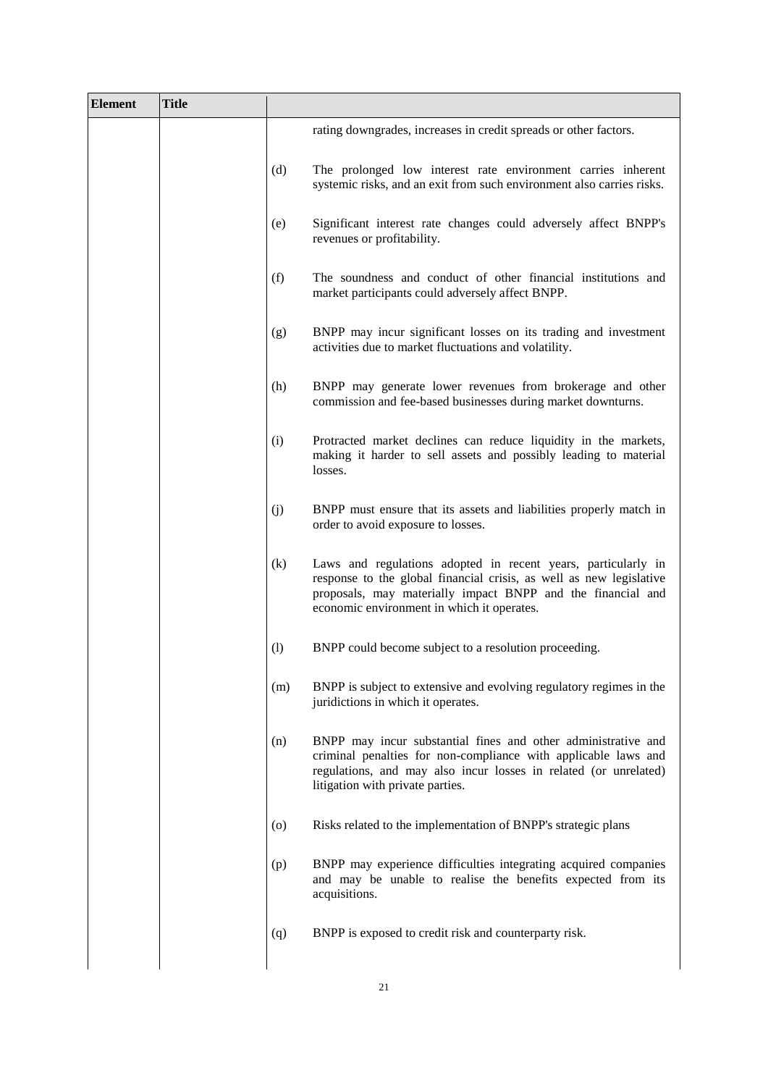|                   | (x)                                                                 | Related Exchange(s):                                                 | As set out in paragraph 26(f) above                                                                                                                                                                                                                                                                |  |  |  |
|-------------------|---------------------------------------------------------------------|----------------------------------------------------------------------|----------------------------------------------------------------------------------------------------------------------------------------------------------------------------------------------------------------------------------------------------------------------------------------------------|--|--|--|
|                   | (xi)<br>Day:                                                        | <b>Exchange Business</b>                                             | As set out in paragraph $26(g)$ above                                                                                                                                                                                                                                                              |  |  |  |
|                   | (xii)<br>Day:                                                       | Scheduled<br>Trading                                                 | As set out in paragraph 26(h) above                                                                                                                                                                                                                                                                |  |  |  |
|                   | (xiii)                                                              | Settlement Price:                                                    | Not applicable                                                                                                                                                                                                                                                                                     |  |  |  |
|                   | (xiv)                                                               | Weighting:                                                           | Not applicable                                                                                                                                                                                                                                                                                     |  |  |  |
|                   | $\left( xy\right)$<br>Occurrence                                    | Redemption<br>on<br>of<br>an<br><b>Extraordinary Event:</b>          | Delayed<br>Redemption<br>οf<br>on<br>Occurrence<br>an<br>Extraordinary Event: Not applicable                                                                                                                                                                                                       |  |  |  |
| (j)               |                                                                     | <b>ETI Linked Premium Amount</b><br>Certificates:                    | Not applicable                                                                                                                                                                                                                                                                                     |  |  |  |
| $\left( k\right)$ |                                                                     | Debt Linked Premium Amount<br>Certificates:                          | Not applicable                                                                                                                                                                                                                                                                                     |  |  |  |
| (1)               |                                                                     | <b>Commodity Linked Premium</b><br><b>Amount Certificates:</b>       | Not applicable                                                                                                                                                                                                                                                                                     |  |  |  |
| (m)               | <b>Inflation Index Linked Premium</b><br><b>Amount Certificates</b> |                                                                      | Not applicable                                                                                                                                                                                                                                                                                     |  |  |  |
| (n)               |                                                                     | <b>Currency Linked Premium</b><br><b>Amount Certificates:</b>        | Not applicable                                                                                                                                                                                                                                                                                     |  |  |  |
| (0)               |                                                                     | Fund Linked Premium Amount<br>Certificates:                          | Not applicable                                                                                                                                                                                                                                                                                     |  |  |  |
| (p)               |                                                                     | <b>Futures Linked Premium Amount</b><br>Certificates:                | Not applicable                                                                                                                                                                                                                                                                                     |  |  |  |
| (q)               |                                                                     | <b>Underlying Interest Rate Linked</b><br><b>Interest Provisions</b> | Not applicable                                                                                                                                                                                                                                                                                     |  |  |  |
| (r)               |                                                                     | <b>Instalment Certificates:</b>                                      | The Certificates are not Instalment Certificates.                                                                                                                                                                                                                                                  |  |  |  |
| (s)               |                                                                     | <b>Issuer Call Option:</b>                                           | Not applicable                                                                                                                                                                                                                                                                                     |  |  |  |
| (t)               |                                                                     | Holder Put Option:                                                   | Not applicable                                                                                                                                                                                                                                                                                     |  |  |  |
| (u)               |                                                                     | Automatic Early Redemption:                                          | Applicable                                                                                                                                                                                                                                                                                         |  |  |  |
|                   |                                                                     | (i) Automatic Early Redemption                                       | <b>Single Standard Automatic Early Redemption</b>                                                                                                                                                                                                                                                  |  |  |  |
|                   | Event:                                                              |                                                                      | If on any Automatic Early Redemption Valuation Date the<br>SPS AER Value is greater than or equal to the Automatic<br>Early Redemption Level.                                                                                                                                                      |  |  |  |
|                   |                                                                     | (ii) Automatic Early Redemption                                      | <b>SPS Automatic Early Redemption Payout</b>                                                                                                                                                                                                                                                       |  |  |  |
|                   | Payout:                                                             |                                                                      | NA x (AER Redemption Percentage + AER Exit Rate)                                                                                                                                                                                                                                                   |  |  |  |
|                   |                                                                     |                                                                      | <b>AER Redemption Percentage means 100%</b>                                                                                                                                                                                                                                                        |  |  |  |
|                   | $Date(s)$ :                                                         | (iii) Automatic Early Redemption                                     | 6 November 2020 (i=1), 5 February 2021 (i=2), 7 May 2021<br>$(i=3)$ , 6 August 2021 $(i=4)$ , 5 November 2021 $(i=5)$ , 7<br>February 2022 (i=6), 6 May 2022 (i=7), 5 August 2022<br>$(i=8)$ , 7 November 2022 $(i=9)$ , 6 February 2023 $(i=10)$ , 5<br>May 2023 (i=11) and 7 August 2023 (i=12). |  |  |  |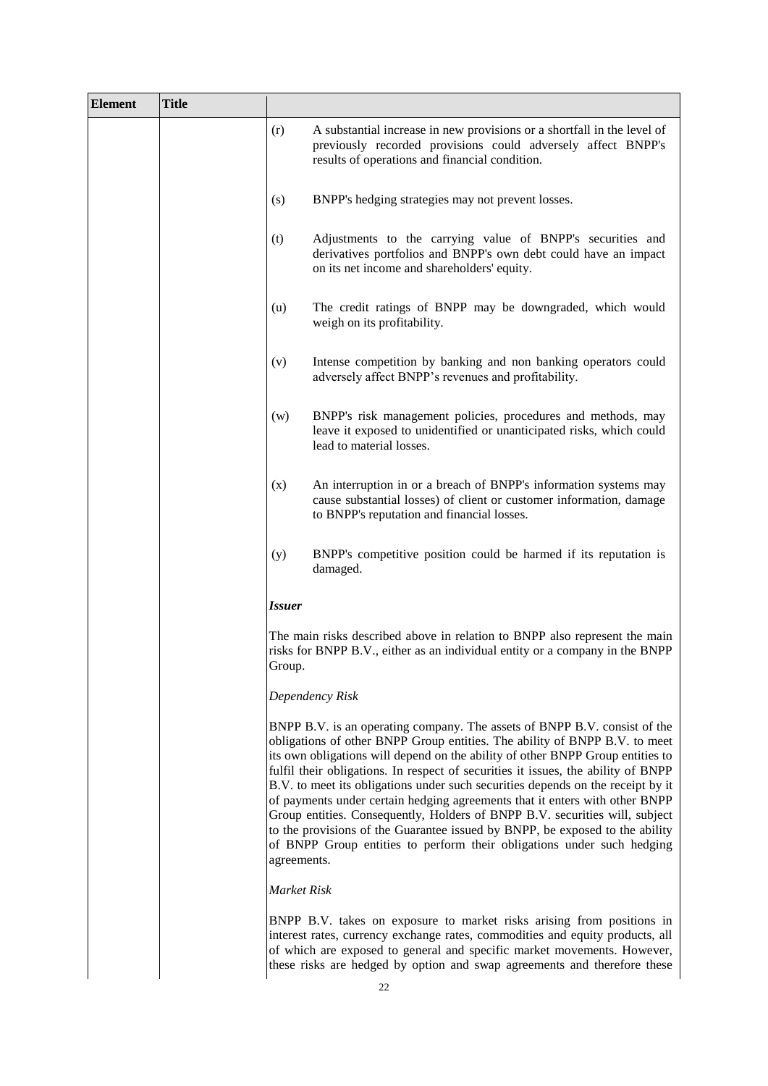| (iv) Observation Price Source: | Not applicable |  |
|--------------------------------|----------------|--|
|--------------------------------|----------------|--|

(v) Underlying Reference Level: Not applicable

**SPS AER Valuation:** Applicable

**SPS AER Value** means the Underlying Reference Value

**Underlying Reference Value** means, in respect of an Underlying Reference and a SPS Valuation Date, (i) the Underlying Reference Closing Price Value for such Underlying Reference in respect of such SPS Valuation Date (ii) divided by the relevant Underlying Reference Strike Price;

**Underlying Reference** is as set out in item 26(a) above

**Underlying Reference Closing Price Value** means, in respect of a SPS Valuation Date, the Closing Price in respect of such day;

**SPS Valuation Date** means each Automatic Early Redemption Valuation Date;

**Strike Price Closing Value**: applicable

**Underlying Reference Strike Price** means, in respect of an Underlying Reference, the Underlying Reference Closing Price Value for such Underlying Reference on the Strike Date;

In respect of the Strike Date:

**Underlying Reference Closing Price Value** means in respect of a SPS Valuation Date, the Closing Price in respect of such day;

Where:

AER Level

**SPS Valuation Date** means the Strike Date.

(vi) Automatic Early Redemption Level:

 $AEDI$  and

| AEK Level means.        |                     |  |
|-------------------------|---------------------|--|
| i                       | AER<br><b>Level</b> |  |
| 1                       | 95%                 |  |
| $\overline{\mathbf{c}}$ | 95%                 |  |
| 3                       | 90%                 |  |
| 4                       | 90%                 |  |
| 5                       | 85%                 |  |
| 6                       | 85%                 |  |
| $\overline{7}$          | 80%                 |  |
| 8                       | 80%                 |  |
| 9                       | 75%                 |  |
| 10                      | 75%                 |  |
| 11                      | 70%                 |  |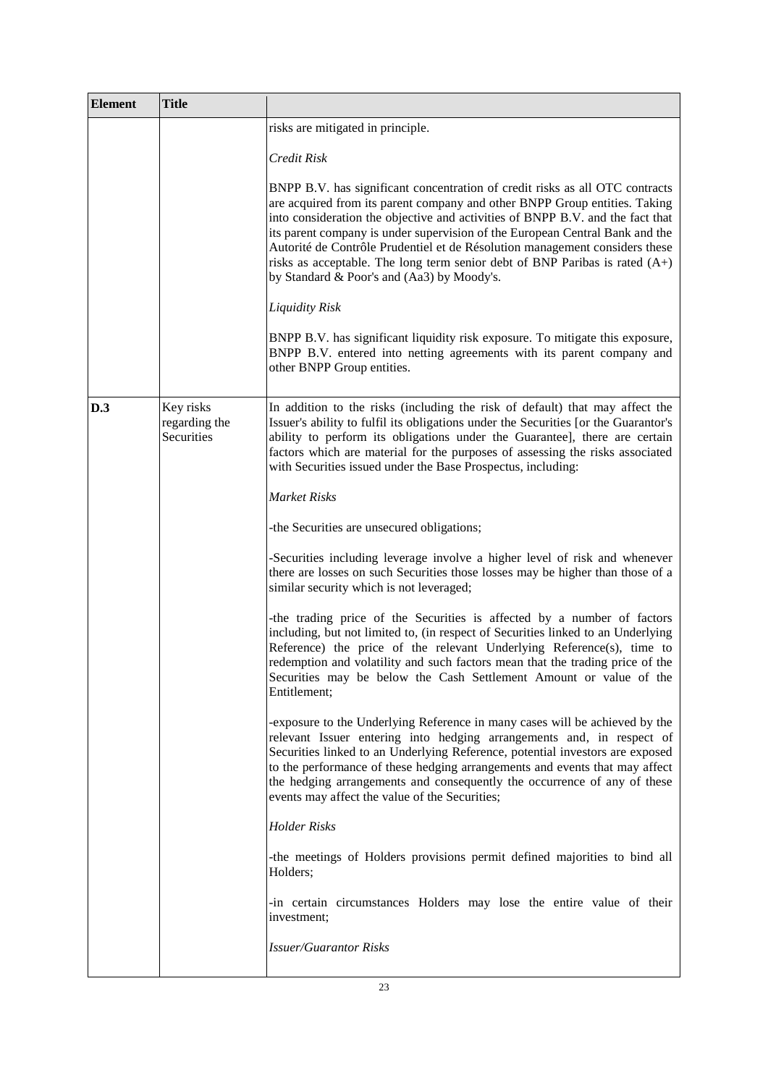|     |      |                                                                          | 12              | 70%                |                                                                                                                                                                                                                                                                                                |
|-----|------|--------------------------------------------------------------------------|-----------------|--------------------|------------------------------------------------------------------------------------------------------------------------------------------------------------------------------------------------------------------------------------------------------------------------------------------------|
|     |      |                                                                          |                 |                    | "i" is a number from 1 to 12 and it means the relevant<br>Automatic Early Redemption Valuation Date.                                                                                                                                                                                           |
|     |      | (vii) Automatic Early Redemption<br>Percentage:                          |                 | Not applicable     |                                                                                                                                                                                                                                                                                                |
|     |      | (viii) AER Exit Rate:                                                    | <b>AER Rate</b> |                    |                                                                                                                                                                                                                                                                                                |
|     |      |                                                                          |                 | AER Rate means 0%  |                                                                                                                                                                                                                                                                                                |
|     |      | (ix) Automatic Early Redemption<br>Valuation Date(s)/Period(s):          |                 |                    | 30 October 2020 (i=1), 29 January 2021 (i=2), 30 April<br>2021 (i=3), 30 July 2021 (i=4), 29 October 2021 (i=5), 31<br>January 2022 (i=6), 29 April 2022 (i=7), 29 July 2022 (i=8),<br>31 October 2022 (i=9), 30 January 2023 (i=10), 28 April<br>2023 ( $i=11$ ) and 31 July 2023 ( $i=12$ ). |
|     | (v)  | Renouncement Notice Cut-off<br>Time:                                     |                 | Not applicable.    |                                                                                                                                                                                                                                                                                                |
|     | (w)  | <b>Strike Date:</b>                                                      |                 | 30 October 2019.   |                                                                                                                                                                                                                                                                                                |
|     | (x)  | <b>Strike Price:</b>                                                     |                 | Not applicable.    |                                                                                                                                                                                                                                                                                                |
|     | (y)  | <b>Redemption Valuation Date:</b>                                        |                 | The Exercise Date. |                                                                                                                                                                                                                                                                                                |
|     | (z)  | Averaging:                                                               |                 |                    | Averaging does not apply to the Securities.                                                                                                                                                                                                                                                    |
|     | (aa) | <b>Observation Dates:</b>                                                |                 | Not applicable.    |                                                                                                                                                                                                                                                                                                |
|     | (bb) | <b>Observation Period:</b>                                               |                 | Not applicable.    |                                                                                                                                                                                                                                                                                                |
|     | (cc) | Settlement Business Day:                                                 | Not applicable  |                    |                                                                                                                                                                                                                                                                                                |
|     | (dd) | Cut-off Date:                                                            | Not applicable  |                    |                                                                                                                                                                                                                                                                                                |
|     | (ee) | Identification information of<br>Holders as provided by Condition<br>29: | Not applicable  |                    |                                                                                                                                                                                                                                                                                                |
|     |      | DISTRIBUTION AND U.S. SALES ELIGIBILITY                                  |                 |                    |                                                                                                                                                                                                                                                                                                |
| 43. |      | U.S. Selling Restrictions:                                               | any time        |                    | Not applicable – the Securities may not be legally or<br>beneficially owned by or transferred to any U.S. person at                                                                                                                                                                            |

44. Additional U.S. Federal income tax considerations:

45. Registered broker/dealer: Not applicable

46. TEFRA C or TEFRA Not Applicable: TEFRA C/TEFRA Not Applicable

- 47. Non-exempt Offer: Applicable
	- (i) Non-exempt Offer Jurisdictions:
	-

any time

The Securities are not Specified Securities for the purpose of Section 871(m) of the U.S. Internal Revenue Code of 1986.

- 
- 
- 
- Republic of Italy

(ii) Offer Period: The period from, and including 25 September 2019 until, and including, 28 October 2019, subject to any early closing or extension of the Offer Period, as indicated in Part B, item 6.

(iii) Financial intermediaries granted specific consent to use the Base Prospectus in accordance with the Conditions in it:

Not applicable. See "Placing and Underwriting" of Part B.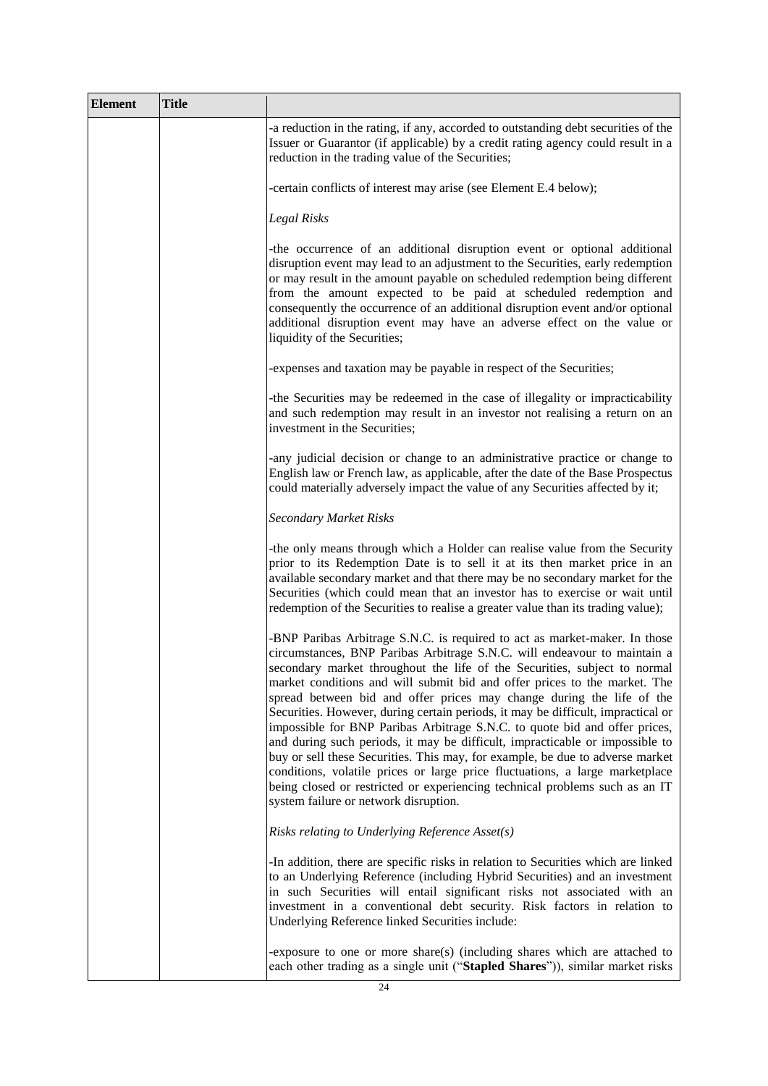| (iv) | General Consent: | Not applicable |
|------|------------------|----------------|
|------|------------------|----------------|

- (v) Other Authorised Offeror Not applicable Terms:
- 48. Prohibition of Sales to EEA Retail Investors:
- (a) Selling Restrictions: Not applicable (b) Legend: Not applicable

# **PROVISIONS RELATING TO COLLATERAL AND SECURITY**

| 49. |                                  |  | Secured Security other than Notional Not applicable |
|-----|----------------------------------|--|-----------------------------------------------------|
|     | Value Repack Securities:         |  |                                                     |
| 50. | Notional Value Repack Securities |  | Not applicable                                      |

### **Responsibility**

The Issuer accepts responsibility for the information contained in these Final Terms. To the best of the knowledge of the Issuer (who has taken all reasonable care to ensure that such is the case), the information contained herein is in accordance with the facts and does not omit anything likely to affect the import of such information.

Signed on behalf of BNP Paribas Issuance B.V.

As Issuer:

C. Nastage

By: Cezar NASTASA.. Duly authorised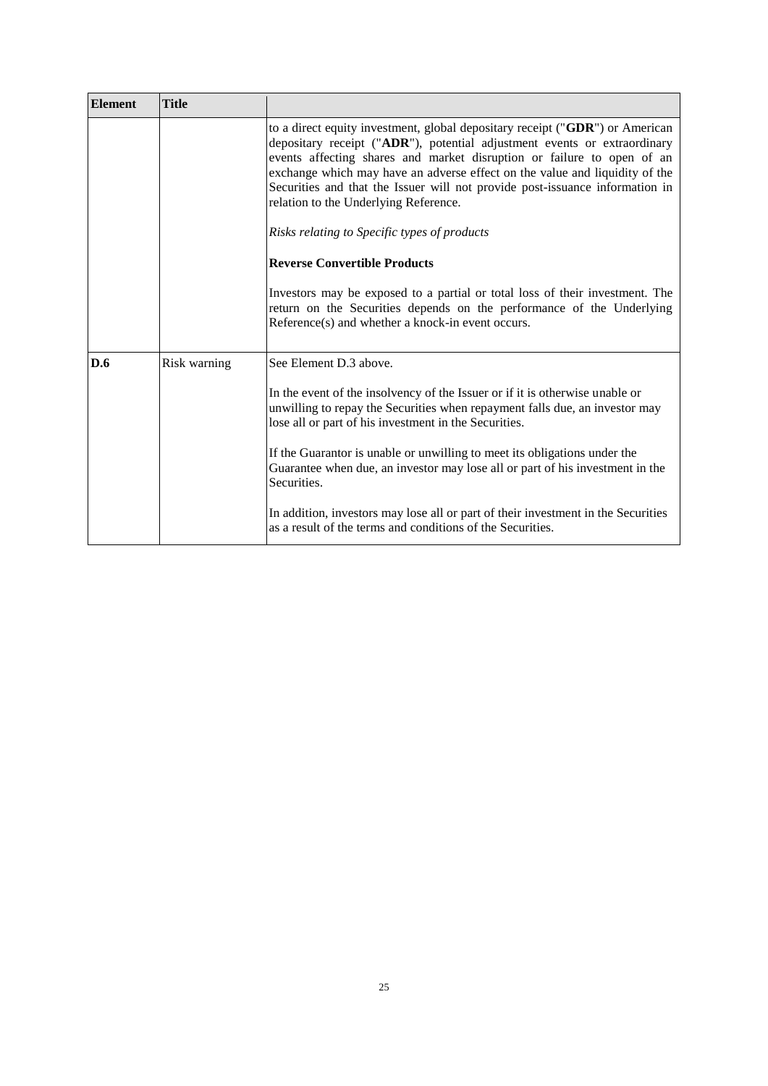### **PART B – OTHER INFORMATION**

### **1. Listing and Admission to trading**

Application will be made for the Certificates to be admitted to trading on the Multilateral Trading Facility EuroTLX, (organised and managed by EuroTLX SIM S.p.A).

### **2. Ratings**

The Securities have not been rated.

The rating of the Issuer is A+ from Standard and Poor's.

The rating of the Guarantor is Aa3 from Moody's and A+ from Standard and Poor's.

As defined by Moody's, an "Aa" rating means that the obligations of the Issuer and the Guarantor under the Programme are judged to be of high quality and are subject to very low credit risk. Moody's appends numerical modifiers 1, 2, and 3 to each generic rating classification from Aaa through Caa. The modifier 3 indicates a ranking in the lower end of that generic rating category.

As defined by Standard & Poor's, an obligation rated 'A' is somewhat more susceptible to the adverse effects of changes in circumstances and economic conditions than obligations in higher-rated categories. However, the relevant Issuer and Guarantor's capacity to meet its financial commitment on the obligation is still strong. The addition of a plus  $(+)$  or minus  $(-)$  sign shows relative standing within the major rating category"

Moody's and Standard & Poor's are established in the European Union and are registered under Regulation (EC) No. 1060/2009 (as amended).

## **3. Interests of Natural and Legal Persons Involved in the Offer**

Investors shall be informed of the fact that Deutsche Bank S.p.A. (the "Distributor") will receive from the Issuer placement fees implicit in the Issue Price of the Securities equal to a maximum amount of 4% (all tax included) of the issue amount. All placement fees will be paid out upfront.

Investors must also consider that such fees are not included in the price of the Securities on the secondary market and, therefore, if the Securities are sold on the secondary market, fees embedded in the Issue Price will be deducted from the sale price.

Save as discussed in the "*Potential Conflicts of Interest*" paragraph in the "*Risk Factors*" in the Base Prospectus, so far as the Issuer is aware, no person involved in the offer of the Securities has an interest material to the offer.

## **4. Performance of Underlying/Formula/Other Variable and Other Information concerning the Underlying Reference**

See Base Prospectus for an explanation of effect on value of Investment and associated risks in investing in Securities.

Past and further performances of the Underlying Shares are available on the relevant Exchange website [www.borsaitaliana.it](http://www.borsaitaliana.it/) and their volatility may be obtained at the office of the Calculation Agent by mail to the following address: [investimenti@bnpparibas.it](mailto:investimenti@bnpparibas.it)

The Issuer does not intend to provide post-issuance information.

### **5. Operational Information**

Relevant Clearing System(s): Euroclear and Clearstream, Luxembourg

# **6. Terms and Conditions of the Public Offer**

Offer Price: The Issue Price (of which a maximum amount of 4% (all tax included) is represented by commissions payable to the Distributor).

Conditions to which the offer is subject: The offer of the Securities is conditional on their issue.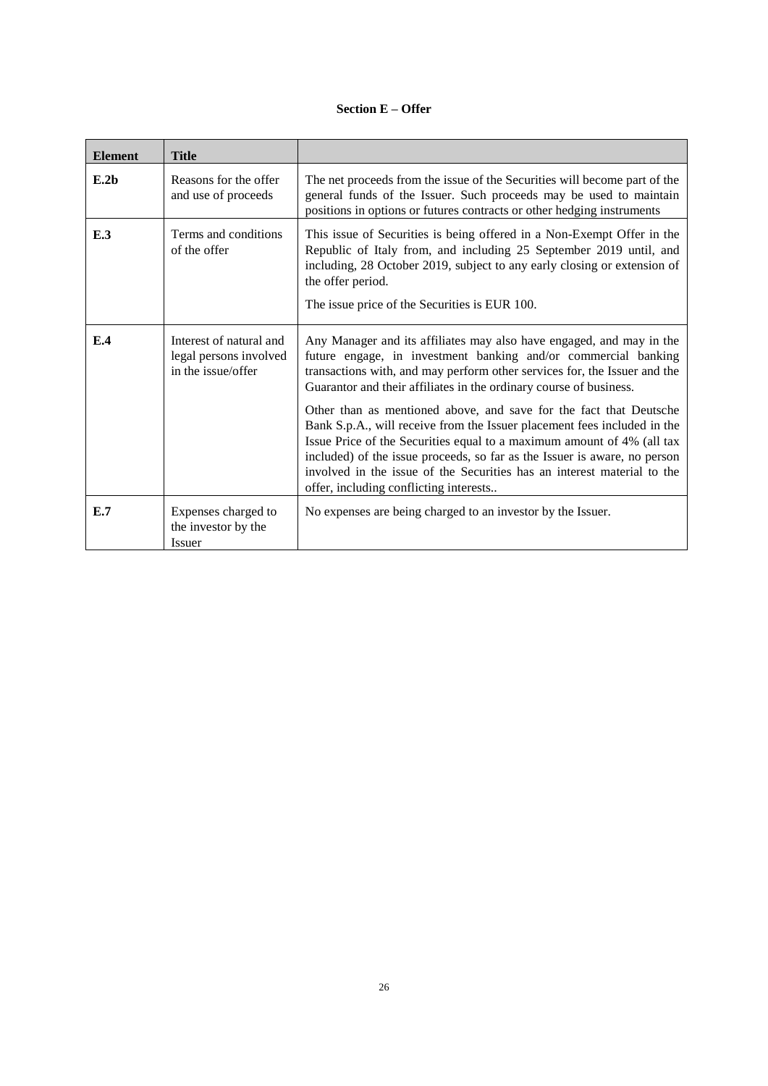The Issuer reserves the right to withdraw the offer and cancel the issuance of the Securities for any reason, in accordance with the Distributor at any time on or prior to the Issue Date. For the avoidance of doubt, if any application has been made by a potential investor and the Issuer exercises such a right, each such potential investor shall not be entitled to subscribe or otherwise acquire the Securities.

The Issuer will in its sole discretion determine the final amount of Securities issued up to a limit of EUR 40,000,000. The final amount that is issued on Issue Date will be listed on Multilateral Trading Facility EuroTLX (managed by EuroTLX SIM S.p.A.). The final amount of the Securities issued will be determined by the Issuer in light of prevailing market conditions, and in its sole and absolute discretion depending on the number of Securities which have been agreed to be purchased as of the Issue Date.

The Offer Period may be closed early as determined by Issuer in its sole discretion and notified on or around such earlier date by publication on the following webpage investimenti.bnpparibas.it

The Issuer reserves the right to extend the Offer Period. The Issuer will inform of the extension of the Offer Period by means of a notice to be published on the following webpage investimenti.bnpparibas.it

The Issuer reserves the right to increase the number of Securities to be issued during the Offer Period. The Issuer will inform the public of the size increase by means of a notice to be published on the following webpage investimenti.bnpparibas.it

The final amount of the Securities issued will be determined by the Issuer in light of prevailing market conditions, and in its sole and absolute discretion depending on the number of Securities which have been asked to be subscribed for during the Offer Period.

The Issuer undertakes to file the application for the Certificates to be admitted to trading on the EuroTLX in time for the approval for admission to be granted before the Issue Date. The effectiveness of the offer is subject to the issue of the resolution for the admission to trading of the Certificates on the EuroTLX in advance of the Issue Date.

Description of the application process: Application to subscribe for the Securities can be made in Italy through the Distributor. The distribution activity will be carried out in accordance with the usual procedures of the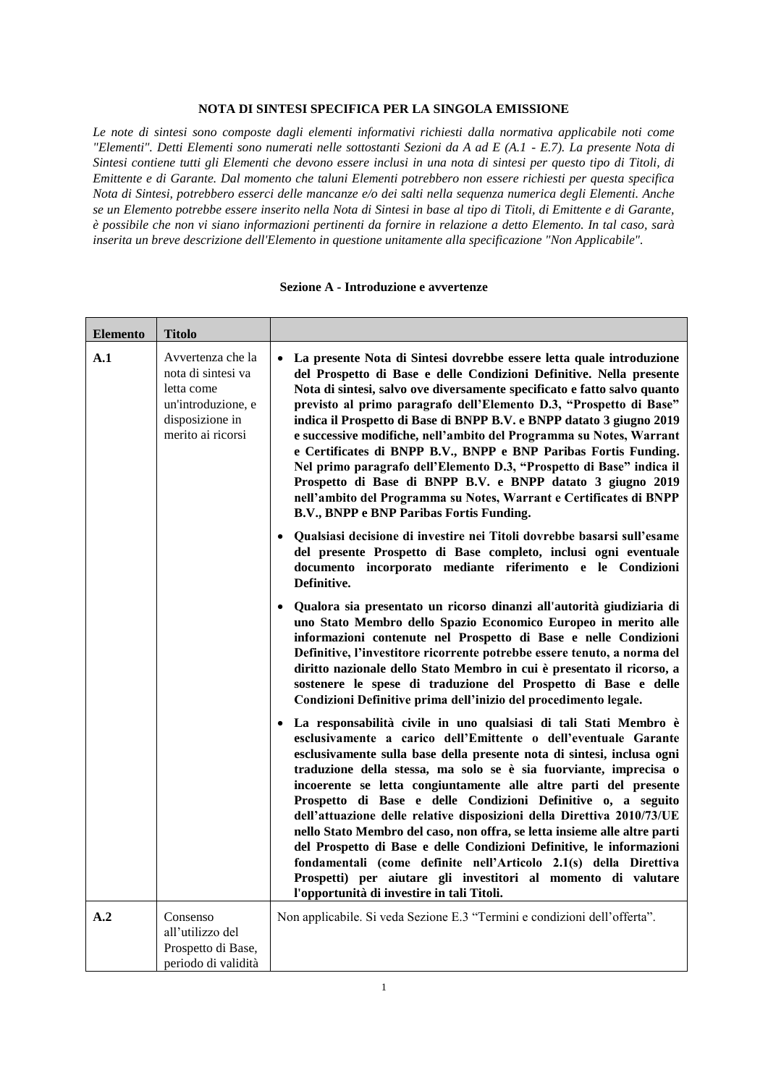#### Distributor.

Investors may apply for the subscription of the Securities during normal Italian banking hours at the offices (*filiali*) of the Distributor from, and including, 25 September 2019 until, and including, 28 October 2019, subject to any early closing or extension of the Offer Period.

The Securities will also be distributed through door-to-door selling pursuant to Article 30 of the Italian Legislative Decree No. 58 of 24 February 1998, as amended from time to time (the "**Italian Financial Services Act**") from and including 25 September 2019 to and including 23 October 2019, subject to any early closing or extension of the Offer Period.

Pursuant to Article 30, paragraph 6, of the Italian Financial Services Act, the validity and enforceability of contracts entered into through door-to-door selling is suspended for a period of 7 (seven) days beginning on the date of purchase by the relevant investor. Within such period investors may notify the relevant Distributor of their withdrawal without payment of any charge or commission.

The Distributor is responsible for the notification of any withdrawal right applicable in relation to the offer of the Securities to potential investors.

Prospective investors will not be required to enter into any contractual arrangements directly with the Issuer in relation to the subscription for the Securities.

Applicants having no client relationship with the Distributor with whom the acceptance form is filed may be required to open a current account or to make a temporary non-interest bearing deposit of an amount equal to the counter-value of the Securities requested, calculated on the basis of the Issue Price of the Securities. In the event that the Securities are not allotted or only partially allotted, the total amount paid as a temporary deposit, or any difference with the counter-value of the Securities allotted, will be repaid to the applicant without charge by the Issue Date.

By purchasing the Securities, the holders of the Securities are deemed to have knowledge of all the Conditions of the Securities and to accept said Conditions.

Applications received by the Distributor prior to the start of the Offer Period or after the closing date of the Offer Period, will be considered as not having been received and will be void.

Details of the minimum and/or maximum amount Minimum subscription amount per investor: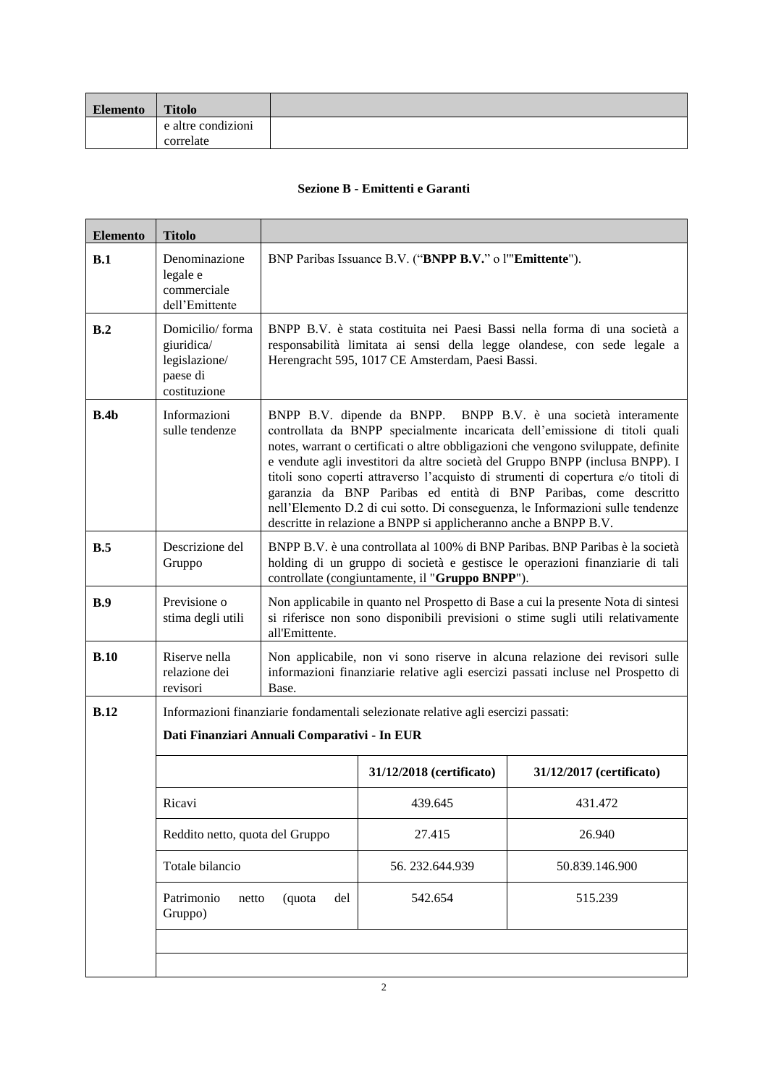|    | of application:                                                                                                                                     | <b>EUR 100</b>                                                                                                                                                                                                                                                                                        |
|----|-----------------------------------------------------------------------------------------------------------------------------------------------------|-------------------------------------------------------------------------------------------------------------------------------------------------------------------------------------------------------------------------------------------------------------------------------------------------------|
|    |                                                                                                                                                     | Maximum subscription amount per investor:<br>400,000* Notional Amount.                                                                                                                                                                                                                                |
|    |                                                                                                                                                     | The maximum amount of application of<br>Securities will be subject only to availability at<br>the time of the application.                                                                                                                                                                            |
|    | Description of possibility to reduce subscriptions<br>and manner for refunding excess amount paid by<br>applicants:                                 | Not applicable                                                                                                                                                                                                                                                                                        |
|    | Details of the method and time limits for paying<br>up and delivering the Securities:                                                               | The Securities will be issued on the Issue Date<br>against payment to the Issuer by the Distributor<br>of the gross subscription moneys.                                                                                                                                                              |
|    |                                                                                                                                                     | The Securities are cleared through the clearing<br>systems and are due to be delivered through the<br>Distributor on or around the Issue Date.                                                                                                                                                        |
|    | Manner in and date on which results of the offer<br>are to be made public:                                                                          | Publication by means of a notice by loading the<br>following link (investimenti.bnpparibas.it) in<br>each case on or around the Issue Date.                                                                                                                                                           |
|    | Procedure for exercise of any right of pre-<br>emption, negotiability of subscription rights and<br>treatment of subscription rights not exercised: | Not applicable                                                                                                                                                                                                                                                                                        |
|    | Process for notification to applicants of the<br>amount allotted and indication whether dealing<br>may begin before notification is made:           | There are no pre-identified allotment criteria.                                                                                                                                                                                                                                                       |
|    |                                                                                                                                                     | The Distributor will adopt allotment criteria that<br>ensure equal treatment of prospective investors.<br>All of the Securities requested through the<br>Distributor during the Offer Period will be<br>assigned up to the maximum amount of the<br>Offer.                                            |
|    |                                                                                                                                                     | In the event that during the Offer Period the<br>requests exceed the number of Securities to be<br>issued, the Issuer will at it discretion, either, (i)<br>proceed to increase the size of the offer or, (ii)<br>early terminate the Offer Period and suspend the<br>acceptance of further requests. |
|    |                                                                                                                                                     | Each investor will be notified by the Distributor<br>of its allocation of Securities after the end of the<br>Offer Period and in any event on or around the<br>Issue Date.                                                                                                                            |
|    |                                                                                                                                                     | No dealings in the Securities may take place<br>prior to the Issue Date.                                                                                                                                                                                                                              |
|    | Amount of any expenses and taxes specifically<br>charged to the subscriber or purchaser:                                                            | The Issuer is not aware of any expenses and<br>taxes specifically charged to the subscriber.                                                                                                                                                                                                          |
|    |                                                                                                                                                     | For the Offer Price which includes<br>the<br>commissions payable to the Distributor see above<br>"Offer Price".                                                                                                                                                                                       |
| 7. | <b>Placing and Underwriting</b>                                                                                                                     |                                                                                                                                                                                                                                                                                                       |

Name(s) and address(es), to the extent known to The Distributor with the address set out below.